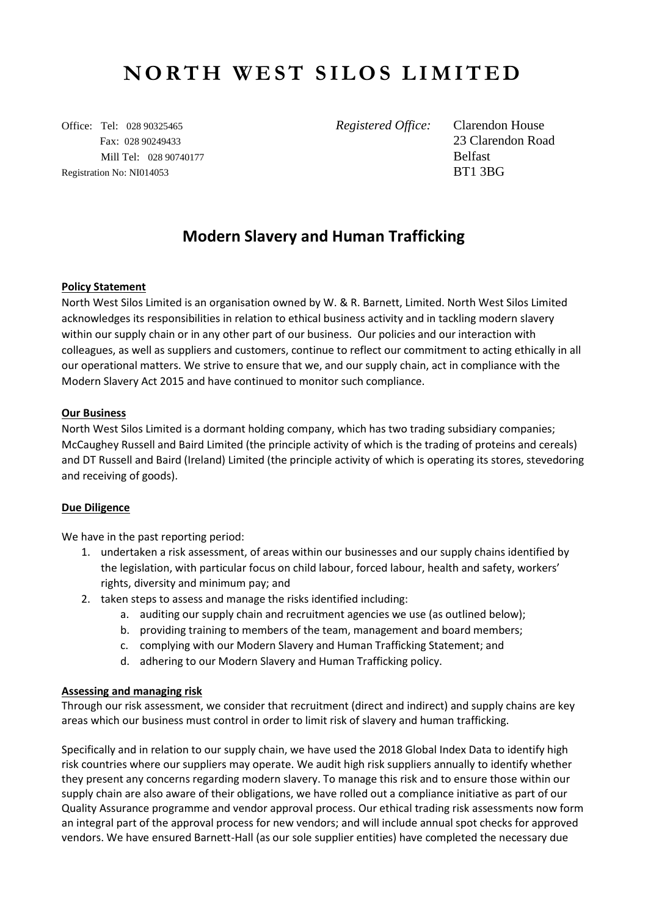# **NORTH WEST SILOS LIMITED**

Office: Tel: 028 90325465 *Registered Office:* Clarendon House Fax: 028 90249433 23 Clarendon Road Mill Tel: 028 90740177 Belfast Registration No: NI014053 BT1 3BG

# **Modern Slavery and Human Trafficking**

### **Policy Statement**

North West Silos Limited is an organisation owned by W. & R. Barnett, Limited. North West Silos Limited acknowledges its responsibilities in relation to ethical business activity and in tackling modern slavery within our supply chain or in any other part of our business. Our policies and our interaction with colleagues, as well as suppliers and customers, continue to reflect our commitment to acting ethically in all our operational matters. We strive to ensure that we, and our supply chain, act in compliance with the Modern Slavery Act 2015 and have continued to monitor such compliance.

#### **Our Business**

North West Silos Limited is a dormant holding company, which has two trading subsidiary companies; McCaughey Russell and Baird Limited (the principle activity of which is the trading of proteins and cereals) and DT Russell and Baird (Ireland) Limited (the principle activity of which is operating its stores, stevedoring and receiving of goods).

#### **Due Diligence**

We have in the past reporting period:

- 1. undertaken a risk assessment, of areas within our businesses and our supply chains identified by the legislation, with particular focus on child labour, forced labour, health and safety, workers' rights, diversity and minimum pay; and
- 2. taken steps to assess and manage the risks identified including:
	- a. auditing our supply chain and recruitment agencies we use (as outlined below);
	- b. providing training to members of the team, management and board members;
	- c. complying with our Modern Slavery and Human Trafficking Statement; and
	- d. adhering to our Modern Slavery and Human Trafficking policy.

#### **Assessing and managing risk**

Through our risk assessment, we consider that recruitment (direct and indirect) and supply chains are key areas which our business must control in order to limit risk of slavery and human trafficking.

Specifically and in relation to our supply chain, we have used the 2018 Global Index Data to identify high risk countries where our suppliers may operate. We audit high risk suppliers annually to identify whether they present any concerns regarding modern slavery. To manage this risk and to ensure those within our supply chain are also aware of their obligations, we have rolled out a compliance initiative as part of our Quality Assurance programme and vendor approval process. Our ethical trading risk assessments now form an integral part of the approval process for new vendors; and will include annual spot checks for approved vendors. We have ensured Barnett-Hall (as our sole supplier entities) have completed the necessary due